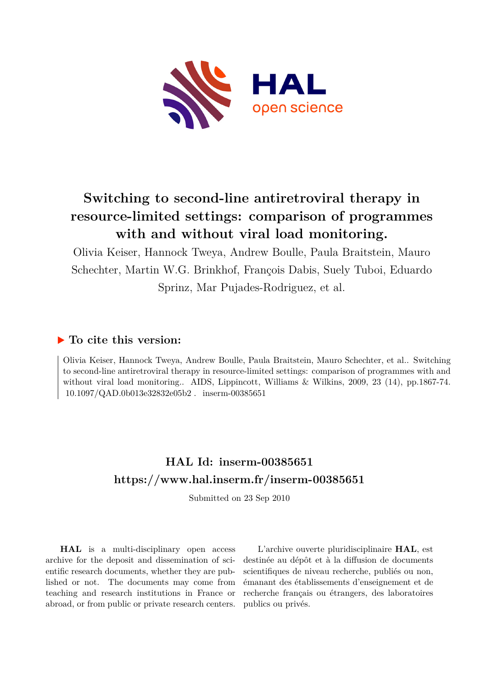

# **Switching to second-line antiretroviral therapy in resource-limited settings: comparison of programmes with and without viral load monitoring.**

Olivia Keiser, Hannock Tweya, Andrew Boulle, Paula Braitstein, Mauro Schechter, Martin W.G. Brinkhof, François Dabis, Suely Tuboi, Eduardo Sprinz, Mar Pujades-Rodriguez, et al.

# **To cite this version:**

Olivia Keiser, Hannock Tweya, Andrew Boulle, Paula Braitstein, Mauro Schechter, et al.. Switching to second-line antiretroviral therapy in resource-limited settings: comparison of programmes with and without viral load monitoring.. AIDS, Lippincott, Williams & Wilkins, 2009, 23 (14), pp.1867-74.  $10.1097/QAD.0b013e32832e05b2$ . inserm-00385651

# **HAL Id: inserm-00385651 <https://www.hal.inserm.fr/inserm-00385651>**

Submitted on 23 Sep 2010

**HAL** is a multi-disciplinary open access archive for the deposit and dissemination of scientific research documents, whether they are published or not. The documents may come from teaching and research institutions in France or abroad, or from public or private research centers.

L'archive ouverte pluridisciplinaire **HAL**, est destinée au dépôt et à la diffusion de documents scientifiques de niveau recherche, publiés ou non, émanant des établissements d'enseignement et de recherche français ou étrangers, des laboratoires publics ou privés.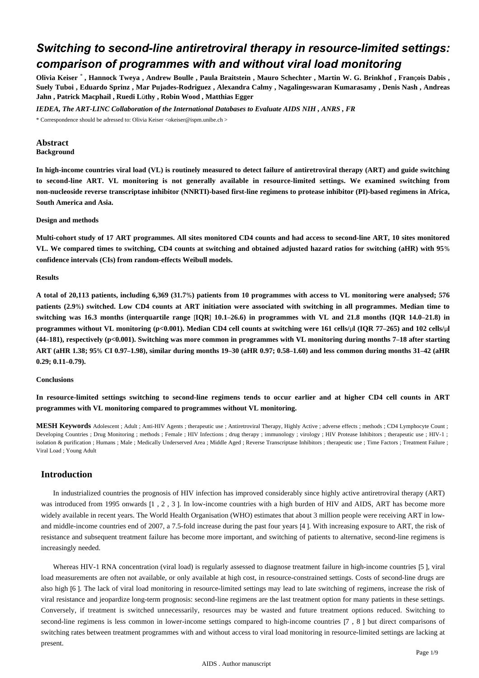# *Switching to second-line antiretroviral therapy in resource-limited settings: comparison of programmes with and without viral load monitoring*

**Olivia Keiser** \* **, Hannock Tweya , Andrew Boulle , Paula Braitstein , Mauro Schechter , Martin W. G. Brinkhof , Fran**ç**ois Dabis , Suely Tuboi , Eduardo Sprinz , Mar Pujades-Rodriguez , Alexandra Calmy , Nagalingeswaran Kumarasamy , Denis Nash , Andreas Jahn , Patrick Macphail , Ruedi L**ü**thy , Robin Wood , Matthias Egger**

*IEDEA, The ART-LINC Collaboration of the International Databases to Evaluate AIDS NIH , ANRS , FR* \* Correspondence should be adressed to: Olivia Keiser <okeiser@ispm.unibe.ch >

#### **Abstract Background**

**In high-income countries viral load (VL) is routinely measured to detect failure of antiretroviral therapy (ART) and guide switching to second-line ART. VL monitoring is not generally available in resource-limited settings. We examined switching from non-nucleoside reverse transcriptase inhibitor (NNRTI)-based first-line regimens to protease inhibitor (PI)-based regimens in Africa, South America and Asia.**

#### **Design and methods**

**Multi-cohort study of 17 ART programmes. All sites monitored CD4 counts and had access to second-line ART, 10 sites monitored VL. We compared times to switching, CD4 counts at switching and obtained adjusted hazard ratios for switching (aHR) with 95**% **confidence intervals (CIs) from random-effects Weibull models.**

#### **Results**

**A total of 20,113 patients, including 6,369 (31.7**%**) patients from 10 programmes with access to VL monitoring were analysed; 576 patients (2.9**%**) switched. Low CD4 counts at ART initiation were associated with switching in all programmes. Median time to switching was 16.3 months (interquartile range** [**IQR**] **10.1**–**26.6) in programmes with VL and 21.8 months (IQR 14.0**–**21.8) in programmes without VL monitoring (p<0.001). Median CD4 cell counts at switching were 161 cells/**μ**l (IQR 77**–**265) and 102 cells/**μ**l (44**–**181), respectively (p<0.001). Switching was more common in programmes with VL monitoring during months 7**–**18 after starting ART (aHR 1.38; 95**% **CI 0.97**–**1.98), similar during months 19**–**30 (aHR 0.97; 0.58**–**1.60) and less common during months 31**–**42 (aHR 0.29; 0.11**–**0.79).**

#### **Conclusions**

**In resource-limited settings switching to second-line regimens tends to occur earlier and at higher CD4 cell counts in ART programmes with VL monitoring compared to programmes without VL monitoring.**

**MESH Keywords** Adolescent ; Adult ; Anti-HIV Agents ; therapeutic use ; Antiretroviral Therapy, Highly Active ; adverse effects ; methods ; CD4 Lymphocyte Count ; Developing Countries ; Drug Monitoring ; methods ; Female ; HIV Infections ; drug therapy ; immunology ; virology ; HIV Protease Inhibitors ; therapeutic use ; HIV-1 ; isolation & purification ; Humans ; Male ; Medically Underserved Area ; Middle Aged ; Reverse Transcriptase Inhibitors ; therapeutic use ; Time Factors ; Treatment Failure ; Viral Load ; Young Adult

# **Introduction**

In industrialized countries the prognosis of HIV infection has improved considerably since highly active antiretroviral therapy (ART) was introduced from 1995 onwards [1, 2, 3]. In low-income countries with a high burden of HIV and AIDS, ART has become more widely available in recent years. The World Health Organisation (WHO) estimates that about 3 million people were receiving ART in lowand middle-income countries end of 2007, a 7.5-fold increase during the past four years [4 ]. With increasing exposure to ART, the risk of resistance and subsequent treatment failure has become more important, and switching of patients to alternative, second-line regimens is increasingly needed.

Whereas HIV-1 RNA concentration (viral load) is regularly assessed to diagnose treatment failure in high-income countries [5 ], viral load measurements are often not available, or only available at high cost, in resource-constrained settings. Costs of second-line drugs are also high [6 ]. The lack of viral load monitoring in resource-limited settings may lead to late switching of regimens, increase the risk of viral resistance and jeopardize long-term prognosis: second-line regimens are the last treatment option for many patients in these settings. Conversely, if treatment is switched unnecessarily, resources may be wasted and future treatment options reduced. Switching to second-line regimens is less common in lower-income settings compared to high-income countries [7 , 8 ] but direct comparisons of switching rates between treatment programmes with and without access to viral load monitoring in resource-limited settings are lacking at present.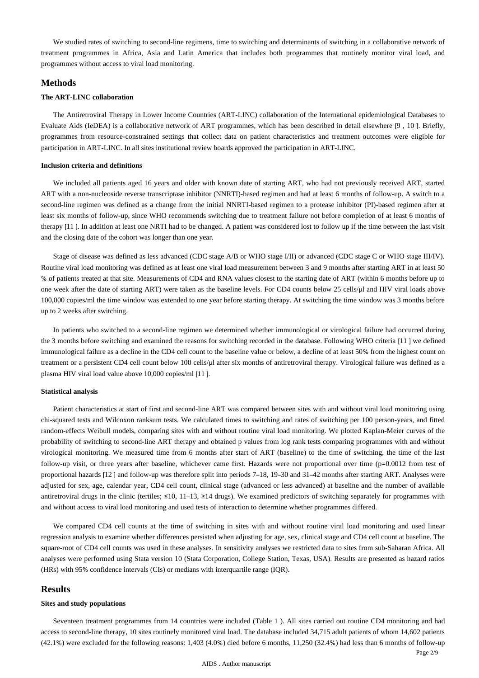We studied rates of switching to second-line regimens, time to switching and determinants of switching in a collaborative network of treatment programmes in Africa, Asia and Latin America that includes both programmes that routinely monitor viral load, and programmes without access to viral load monitoring.

#### **Methods**

#### **The ART-LINC collaboration**

The Antiretroviral Therapy in Lower Income Countries (ART-LINC) collaboration of the International epidemiological Databases to Evaluate Aids (IeDEA) is a collaborative network of ART programmes, which has been described in detail elsewhere [9 , 10 ]. Briefly, programmes from resource-constrained settings that collect data on patient characteristics and treatment outcomes were eligible for participation in ART-LINC. In all sites institutional review boards approved the participation in ART-LINC.

#### **Inclusion criteria and definitions**

We included all patients aged 16 years and older with known date of starting ART, who had not previously received ART, started ART with a non-nucleoside reverse transcriptase inhibitor (NNRTI)-based regimen and had at least 6 months of follow-up. A switch to a second-line regimen was defined as a change from the initial NNRTI-based regimen to a protease inhibitor (PI)-based regimen after at least six months of follow-up, since WHO recommends switching due to treatment failure not before completion of at least 6 months of therapy [11 ]. In addition at least one NRTI had to be changed. A patient was considered lost to follow up if the time between the last visit and the closing date of the cohort was longer than one year.

Stage of disease was defined as less advanced (CDC stage A/B or WHO stage I/II) or advanced (CDC stage C or WHO stage III/IV). Routine viral load monitoring was defined as at least one viral load measurement between 3 and 9 months after starting ART in at least 50 % of patients treated at that site. Measurements of CD4 and RNA values closest to the starting date of ART (within 6 months before up to one week after the date of starting ART) were taken as the baseline levels. For CD4 counts below 25 cells/μl and HIV viral loads above 100,000 copies/ml the time window was extended to one year before starting therapy. At switching the time window was 3 months before up to 2 weeks after switching.

In patients who switched to a second-line regimen we determined whether immunological or virological failure had occurred during the 3 months before switching and examined the reasons for switching recorded in the database. Following WHO criteria [11 ] we defined immunological failure as a decline in the CD4 cell count to the baseline value or below, a decline of at least 50% from the highest count on treatment or a persistent CD4 cell count below 100 cells/μl after six months of antiretroviral therapy. Virological failure was defined as a plasma HIV viral load value above 10,000 copies/ml [11 ].

#### **Statistical analysis**

Patient characteristics at start of first and second-line ART was compared between sites with and without viral load monitoring using chi-squared tests and Wilcoxon ranksum tests. We calculated times to switching and rates of switching per 100 person-years, and fitted random-effects Weibull models, comparing sites with and without routine viral load monitoring. We plotted Kaplan-Meier curves of the probability of switching to second-line ART therapy and obtained p values from log rank tests comparing programmes with and without virological monitoring. We measured time from 6 months after start of ART (baseline) to the time of switching, the time of the last follow-up visit, or three years after baseline, whichever came first. Hazards were not proportional over time (p=0.0012 from test of proportional hazards [12 ] and follow-up was therefore split into periods 7–18, 19–30 and 31–42 months after starting ART. Analyses were adjusted for sex, age, calendar year, CD4 cell count, clinical stage (advanced or less advanced) at baseline and the number of available antiretroviral drugs in the clinic (tertiles;  $\leq 10$ , 11–13,  $\geq 14$  drugs). We examined predictors of switching separately for programmes with and without access to viral load monitoring and used tests of interaction to determine whether programmes differed.

We compared CD4 cell counts at the time of switching in sites with and without routine viral load monitoring and used linear regression analysis to examine whether differences persisted when adjusting for age, sex, clinical stage and CD4 cell count at baseline. The square-root of CD4 cell counts was used in these analyses. In sensitivity analyses we restricted data to sites from sub-Saharan Africa. All analyses were performed using Stata version 10 (Stata Corporation, College Station, Texas, USA). Results are presented as hazard ratios (HRs) with 95% confidence intervals (CIs) or medians with interquartile range (IQR).

### **Results**

#### **Sites and study populations**

Seventeen treatment programmes from 14 countries were included (Table 1 ). All sites carried out routine CD4 monitoring and had access to second-line therapy, 10 sites routinely monitored viral load. The database included 34,715 adult patients of whom 14,602 patients (42.1%) were excluded for the following reasons: 1,403 (4.0%) died before 6 months, 11,250 (32.4%) had less than 6 months of follow-up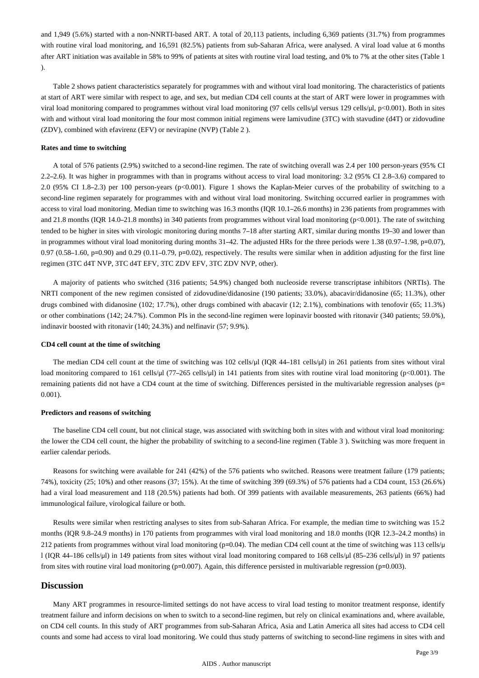and 1,949 (5.6%) started with a non-NNRTI-based ART. A total of 20,113 patients, including 6,369 patients (31.7%) from programmes with routine viral load monitoring, and 16,591 (82.5%) patients from sub-Saharan Africa, were analysed. A viral load value at 6 months after ART initiation was available in 58% to 99% of patients at sites with routine viral load testing, and 0% to 7% at the other sites (Table 1 ).

Table 2 shows patient characteristics separately for programmes with and without viral load monitoring. The characteristics of patients at start of ART were similar with respect to age, and sex, but median CD4 cell counts at the start of ART were lower in programmes with viral load monitoring compared to programmes without viral load monitoring (97 cells cells/μl versus 129 cells/μl, p<0.001). Both in sites with and without viral load monitoring the four most common initial regimens were lamivudine (3TC) with stavudine (d4T) or zidovudine (ZDV), combined with efavirenz (EFV) or nevirapine (NVP) (Table 2 ).

#### **Rates and time to switching**

A total of 576 patients (2.9%) switched to a second-line regimen. The rate of switching overall was 2.4 per 100 person-years (95% CI 2.2–2.6). It was higher in programmes with than in programs without access to viral load monitoring: 3.2 (95% CI 2.8–3.6) compared to 2.0 (95% CI 1.8–2.3) per 100 person-years (p<0.001). Figure 1 shows the Kaplan-Meier curves of the probability of switching to a second-line regimen separately for programmes with and without viral load monitoring. Switching occurred earlier in programmes with access to viral load monitoring. Median time to switching was 16.3 months (IQR 10.1–26.6 months) in 236 patients from programmes with and 21.8 months (IQR 14.0–21.8 months) in 340 patients from programmes without viral load monitoring (p<0.001). The rate of switching tended to be higher in sites with virologic monitoring during months 7–18 after starting ART, similar during months 19–30 and lower than in programmes without viral load monitoring during months 31–42. The adjusted HRs for the three periods were 1.38 (0.97–1.98, p=0.07),  $0.97 (0.58-1.60, p=0.90)$  and  $0.29 (0.11-0.79, p=0.02)$ , respectively. The results were similar when in addition adjusting for the first line regimen (3TC d4T NVP, 3TC d4T EFV, 3TC ZDV EFV, 3TC ZDV NVP, other).

A majority of patients who switched (316 patients; 54.9%) changed both nucleoside reverse transcriptase inhibitors (NRTIs). The NRTI component of the new regimen consisted of zidovudine/didanosine (190 patients; 33.0%), abacavir/didanosine (65; 11.3%), other drugs combined with didanosine (102; 17.7%), other drugs combined with abacavir (12; 2.1%), combinations with tenofovir (65; 11.3%) or other combinations (142; 24.7%). Common PIs in the second-line regimen were lopinavir boosted with ritonavir (340 patients; 59.0%), indinavir boosted with ritonavir (140; 24.3%) and nelfinavir (57; 9.9%).

#### **CD4 cell count at the time of switching**

The median CD4 cell count at the time of switching was 102 cells/μl (IQR 44–181 cells/μl) in 261 patients from sites without viral load monitoring compared to 161 cells/μl (77–265 cells/μl) in 141 patients from sites with routine viral load monitoring (p<0.001). The remaining patients did not have a CD4 count at the time of switching. Differences persisted in the multivariable regression analyses (p= 0.001).

#### **Predictors and reasons of switching**

The baseline CD4 cell count, but not clinical stage, was associated with switching both in sites with and without viral load monitoring: the lower the CD4 cell count, the higher the probability of switching to a second-line regimen (Table 3 ). Switching was more frequent in earlier calendar periods.

Reasons for switching were available for 241 (42%) of the 576 patients who switched. Reasons were treatment failure (179 patients; 74%), toxicity (25; 10%) and other reasons (37; 15%). At the time of switching 399 (69.3%) of 576 patients had a CD4 count, 153 (26.6%) had a viral load measurement and 118 (20.5%) patients had both. Of 399 patients with available measurements, 263 patients (66%) had immunological failure, virological failure or both.

Results were similar when restricting analyses to sites from sub-Saharan Africa. For example, the median time to switching was 15.2 months (IQR 9.8–24.9 months) in 170 patients from programmes with viral load monitoring and 18.0 months (IQR 12.3–24.2 months) in 212 patients from programmes without viral load monitoring (p=0.04). The median CD4 cell count at the time of switching was 113 cells/μ l (IQR 44–186 cells/μl) in 149 patients from sites without viral load monitoring compared to 168 cells/μl (85–236 cells/μl) in 97 patients from sites with routine viral load monitoring (p=0.007). Again, this difference persisted in multivariable regression (p=0.003).

### **Discussion**

Many ART programmes in resource-limited settings do not have access to viral load testing to monitor treatment response, identify treatment failure and inform decisions on when to switch to a second-line regimen, but rely on clinical examinations and, where available, on CD4 cell counts. In this study of ART programmes from sub-Saharan Africa, Asia and Latin America all sites had access to CD4 cell counts and some had access to viral load monitoring. We could thus study patterns of switching to second-line regimens in sites with and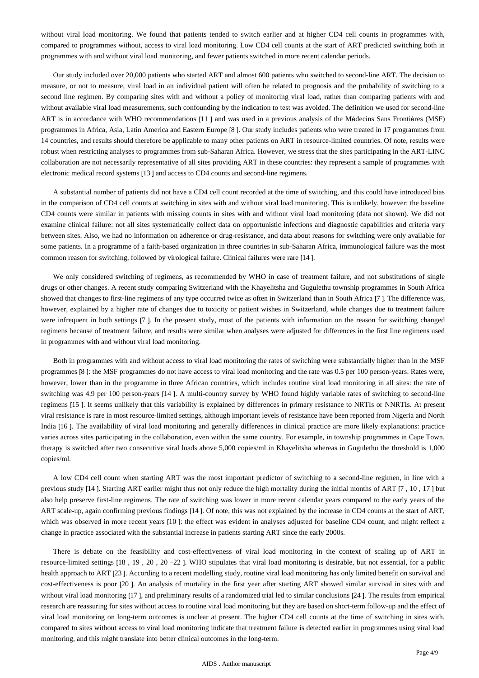without viral load monitoring. We found that patients tended to switch earlier and at higher CD4 cell counts in programmes with, compared to programmes without, access to viral load monitoring. Low CD4 cell counts at the start of ART predicted switching both in programmes with and without viral load monitoring, and fewer patients switched in more recent calendar periods.

Our study included over 20,000 patients who started ART and almost 600 patients who switched to second-line ART. The decision to measure, or not to measure, viral load in an individual patient will often be related to prognosis and the probability of switching to a second line regimen. By comparing sites with and without a policy of monitoring viral load, rather than comparing patients with and without available viral load measurements, such confounding by the indication to test was avoided. The definition we used for second-line ART is in accordance with WHO recommendations [11 ] and was used in a previous analysis of the Médecins Sans Frontières (MSF) programmes in Africa, Asia, Latin America and Eastern Europe [8 ]. Our study includes patients who were treated in 17 programmes from 14 countries, and results should therefore be applicable to many other patients on ART in resource-limited countries. Of note, results were robust when restricting analyses to programmes from sub-Saharan Africa. However, we stress that the sites participating in the ART-LINC collaboration are not necessarily representative of all sites providing ART in these countries: they represent a sample of programmes with electronic medical record systems [13 ] and access to CD4 counts and second-line regimens.

A substantial number of patients did not have a CD4 cell count recorded at the time of switching, and this could have introduced bias in the comparison of CD4 cell counts at switching in sites with and without viral load monitoring. This is unlikely, however: the baseline CD4 counts were similar in patients with missing counts in sites with and without viral load monitoring (data not shown). We did not examine clinical failure: not all sites systematically collect data on opportunistic infections and diagnostic capabilities and criteria vary between sites. Also, we had no information on adherence or drug-resistance, and data about reasons for switching were only available for some patients. In a programme of a faith-based organization in three countries in sub-Saharan Africa, immunological failure was the most common reason for switching, followed by virological failure. Clinical failures were rare [14 ].

We only considered switching of regimens, as recommended by WHO in case of treatment failure, and not substitutions of single drugs or other changes. A recent study comparing Switzerland with the Khayelitsha and Gugulethu township programmes in South Africa showed that changes to first-line regimens of any type occurred twice as often in Switzerland than in South Africa [7 ]. The difference was, however, explained by a higher rate of changes due to toxicity or patient wishes in Switzerland, while changes due to treatment failure were infrequent in both settings [7 ]. In the present study, most of the patients with information on the reason for switching changed regimens because of treatment failure, and results were similar when analyses were adjusted for differences in the first line regimens used in programmes with and without viral load monitoring.

Both in programmes with and without access to viral load monitoring the rates of switching were substantially higher than in the MSF programmes [8 ]: the MSF programmes do not have access to viral load monitoring and the rate was 0.5 per 100 person-years. Rates were, however, lower than in the programme in three African countries, which includes routine viral load monitoring in all sites: the rate of switching was 4.9 per 100 person-years [14 ]. A multi-country survey by WHO found highly variable rates of switching to second-line regimens [15 ]. It seems unlikely that this variability is explained by differences in primary resistance to NRTIs or NNRTIs. At present viral resistance is rare in most resource-limited settings, although important levels of resistance have been reported from Nigeria and North India [16 ]. The availability of viral load monitoring and generally differences in clinical practice are more likely explanations: practice varies across sites participating in the collaboration, even within the same country. For example, in township programmes in Cape Town, therapy is switched after two consecutive viral loads above 5,000 copies/ml in Khayelitsha whereas in Gugulethu the threshold is 1,000 copies/ml.

A low CD4 cell count when starting ART was the most important predictor of switching to a second-line regimen, in line with a previous study [14 ]. Starting ART earlier might thus not only reduce the high mortality during the initial months of ART [7 , 10 , 17 ] but also help preserve first-line regimens. The rate of switching was lower in more recent calendar years compared to the early years of the ART scale-up, again confirming previous findings [14 ]. Of note, this was not explained by the increase in CD4 counts at the start of ART, which was observed in more recent years [10 ]: the effect was evident in analyses adjusted for baseline CD4 count, and might reflect a change in practice associated with the substantial increase in patients starting ART since the early 2000s.

There is debate on the feasibility and cost-effectiveness of viral load monitoring in the context of scaling up of ART in resource-limited settings [18 , 19 , 20 , 20 –22 ]. WHO stipulates that viral load monitoring is desirable, but not essential, for a public health approach to ART [23 ]. According to a recent modelling study, routine viral load monitoring has only limited benefit on survival and cost-effectiveness is poor [20 ]. An analysis of mortality in the first year after starting ART showed similar survival in sites with and without viral load monitoring [17 ], and preliminary results of a randomized trial led to similar conclusions [24 ]. The results from empirical research are reassuring for sites without access to routine viral load monitoring but they are based on short-term follow-up and the effect of viral load monitoring on long-term outcomes is unclear at present. The higher CD4 cell counts at the time of switching in sites with, compared to sites without access to viral load monitoring indicate that treatment failure is detected earlier in programmes using viral load monitoring, and this might translate into better clinical outcomes in the long-term.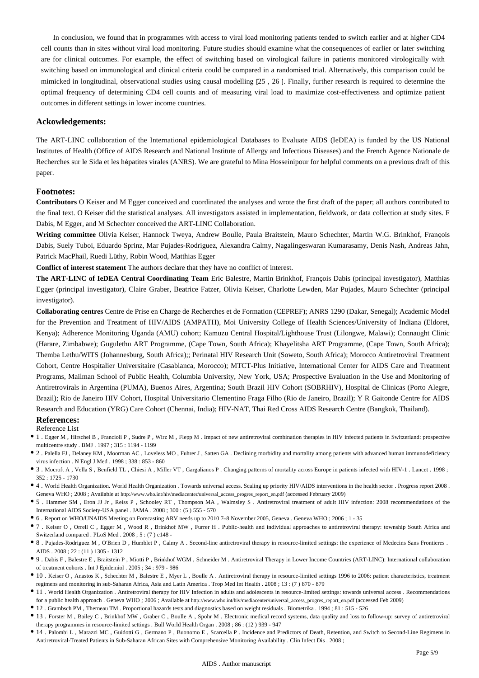In conclusion, we found that in programmes with access to viral load monitoring patients tended to switch earlier and at higher CD4 cell counts than in sites without viral load monitoring. Future studies should examine what the consequences of earlier or later switching are for clinical outcomes. For example, the effect of switching based on virological failure in patients monitored virologically with switching based on immunological and clinical criteria could be compared in a randomised trial. Alternatively, this comparison could be mimicked in longitudinal, observational studies using causal modelling [25 , 26 ]. Finally, further research is required to determine the optimal frequency of determining CD4 cell counts and of measuring viral load to maximize cost-effectiveness and optimize patient outcomes in different settings in lower income countries.

#### **Ackowledgements:**

The ART-LINC collaboration of the International epidemiological Databases to Evaluate AIDS (IeDEA) is funded by the US National Institutes of Health (Office of AIDS Research and National Institute of Allergy and Infectious Diseases) and the French Agence Nationale de Recherches sur le Sida et les hépatites virales (ANRS). We are grateful to Mina Hosseinipour for helpful comments on a previous draft of this paper.

#### **Footnotes:**

**Contributors** O Keiser and M Egger conceived and coordinated the analyses and wrote the first draft of the paper; all authors contributed to the final text. O Keiser did the statistical analyses. All investigators assisted in implementation, fieldwork, or data collection at study sites. F Dabis, M Egger, and M Schechter conceived the ART-LINC Collaboration.

**Writing committee** Olivia Keiser, Hannock Tweya, Andrew Boulle, Paula Braitstein, Mauro Schechter, Martin W.G. Brinkhof, François Dabis, Suely Tuboi, Eduardo Sprinz, Mar Pujades-Rodriguez, Alexandra Calmy, Nagalingeswaran Kumarasamy, Denis Nash, Andreas Jahn, Patrick MacPhail, Ruedi Lüthy, Robin Wood, Matthias Egger

**Conflict of interest statement** The authors declare that they have no conflict of interest.

**The ART-LINC of IeDEA Central Coordinating Team** Eric Balestre, Martin Brinkhof, François Dabis (principal investigator), Matthias Egger (principal investigator), Claire Graber, Beatrice Fatzer, Olivia Keiser, Charlotte Lewden, Mar Pujades, Mauro Schechter (principal investigator).

**Collaborating centres** Centre de Prise en Charge de Recherches et de Formation (CEPREF); ANRS 1290 (Dakar, Senegal); Academic Model for the Prevention and Treatment of HIV/AIDS (AMPATH), Moi University College of Health Sciences/University of Indiana (Eldoret, Kenya); Adherence Monitoring Uganda (AMU) cohort; Kamuzu Central Hospital/Lighthouse Trust (Lilongwe, Malawi); Connaught Clinic (Harare, Zimbabwe); Gugulethu ART Programme, (Cape Town, South Africa); Khayelitsha ART Programme, (Cape Town, South Africa); Themba Lethu/WITS (Johannesburg, South Africa);; Perinatal HIV Research Unit (Soweto, South Africa); Morocco Antiretroviral Treatment Cohort, Centre Hospitalier Universitaire (Casablanca, Morocco); MTCT-Plus Initiative, International Center for AIDS Care and Treatment Programs, Mailman School of Public Health, Columbia University, New York, USA; Prospective Evaluation in the Use and Monitoring of Antiretrovirals in Argentina (PUMA), Buenos Aires, Argentina; South Brazil HIV Cohort (SOBRHIV), Hospital de Clinicas (Porto Alegre, Brazil); Rio de Janeiro HIV Cohort, Hospital Universitario Clementino Fraga Filho (Rio de Janeiro, Brazil); Y R Gaitonde Centre for AIDS Research and Education (YRG) Care Cohort (Chennai, India); HIV-NAT, Thai Red Cross AIDS Research Centre (Bangkok, Thailand).

#### **References:**

Reference List

- 1 . Egger M , Hirschel B , Francioli P , Sudre P , Wirz M , Flepp M . Impact of new antiretroviral combination therapies in HIV infected patients in Switzerland: prospective multicentre study . BMJ . 1997 ; 315 : 1194 - 1199
- 2 . Palella FJ , Delaney KM , Moorman AC , Loveless MO , Fuhrer J , Satten GA . Declining morbidity and mortality among patients with advanced human immunodeficiency virus infection . N Engl J Med . 1998 ; 338 : 853 - 860
- 3 . Mocroft A , Vella S , Benfield TL , Chiesi A , Miller VT , Gargalianos P . Changing patterns of mortality across Europe in patients infected with HIV-1 . Lancet . 1998 ; 352 : 1725 - 1730
- 4 . World Health Organization. World Health Organization . Towards universal access. Scaling up priority HIV/AIDS interventions in the health sector . Progress report 2008 . Geneva WHO ; 2008 ; Available at http://www.who.int/hiv/mediacenter/universal\_access\_progres\_report\_en.pdf (accessed February 2009)
- 5 . Hammer SM , Eron JJ Jr , Reiss P , Schooley RT , Thompson MA , Walmsley S . Antiretroviral treatment of adult HIV infection: 2008 recommendations of the International AIDS Society-USA panel . JAMA . 2008 ; 300 : (5 ) 555 - 570
- 6 . Report on WHO/UNAIDS Meeting on Forecasting ARV needs up to 2010 7–8 November 2005, Geneva . Geneva WHO ; 2006 ; 1 35
- 7 . Keiser O , Orrell C , Egger M , Wood R , Brinkhof MW , Furrer H . Public-health and individual approaches to antiretroviral therapy: township South Africa and Switzerland compared . PLoS Med . 2008 ; 5 : (7 ) e148 -
- 8 . Pujades-Rodriguez M , O'Brien D , Humblet P , Calmy A . Second-line antiretroviral therapy in resource-limited settings: the experience of Medecins Sans Frontieres . AIDS . 2008 ; 22 : (11 ) 1305 - 1312
- 9 . Dabis F , Balestre E , Braitstein P , Miotti P , Brinkhof WGM , Schneider M . Antiretroviral Therapy in Lower Income Countries (ART-LINC): International collaboration of treatment cohorts . Int J Epidemiol . 2005 ; 34 : 979 - 986
- 10 . Keiser O , Anastos K , Schechter M , Balestre E , Myer L , Boulle A . Antiretroviral therapy in resource-limited settings 1996 to 2006: patient characteristics, treatment regimens and monitoring in sub-Saharan Africa, Asia and Latin America . Trop Med Int Health . 2008 ; 13 : (7 ) 870 - 879
- 11 . World Health Organization . Antiretroviral therapy for HIV Infection in adults and adolescents in resource-limited settings: towards universal access . Recommendations for a public health approach . Geneva WHO ; 2006 ; Available at http://www.who.int/hiv/mediacenter/universal\_access\_progres\_report\_en.pdf (accessed Feb 2009)
- 12 . Grambsch PM , Therneau TM . Proportional hazards tests and diagnostics based on weight residuals . Biometrika . 1994 ; 81 : 515 526
- 13 . Forster M , Bailey C , Brinkhof MW , Graber C , Boulle A , Spohr M . Electronic medical record systems, data quality and loss to follow-up: survey of antiretroviral therapy programmes in resource-limited settings . Bull World Health Organ . 2008 ; 86 : (12 ) 939 - 947
- 14 . Palombi L , Marazzi MC , Guidotti G , Germano P , Buonomo E , Scarcella P . Incidence and Predictors of Death, Retention, and Switch to Second-Line Regimens in Antiretroviral-Treated Patients in Sub-Saharan African Sites with Comprehensive Monitoring Availability . Clin Infect Dis . 2008 ;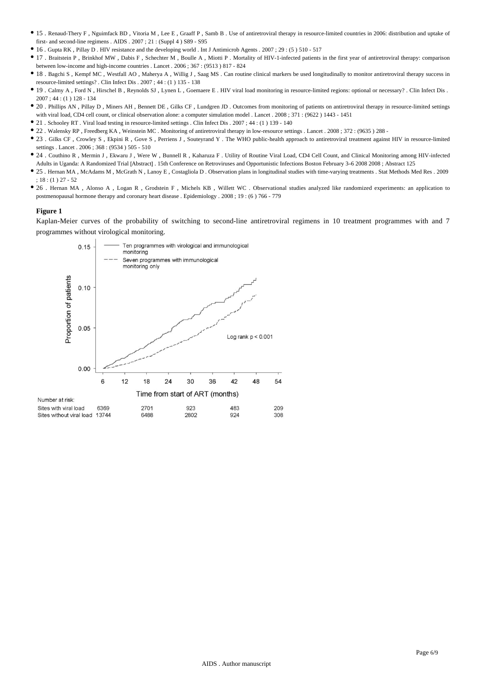- 15 . Renaud-Thery F , Nguimfack BD , Vitoria M , Lee E , Graaff P , Samb B . Use of antiretroviral therapy in resource-limited countries in 2006: distribution and uptake of first- and second-line regimens . AIDS . 2007 ; 21 : (Suppl 4 ) S89 - S95
- 16 . Gupta RK , Pillay D . HIV resistance and the developing world . Int J Antimicrob Agents . 2007 ; 29 : (5 ) 510 517
- 17 . Braitstein P , Brinkhof MW , Dabis F , Schechter M , Boulle A , Miotti P . Mortality of HIV-1-infected patients in the first year of antiretroviral therapy: comparison between low-income and high-income countries . Lancet . 2006 ; 367 : (9513 ) 817 - 824
- 18 . Bagchi S , Kempf MC , Westfall AO , Maherya A , Willig J , Saag MS . Can routine clinical markers be used longitudinally to monitor antiretroviral therapy success in resource-limited settings? . Clin Infect Dis . 2007 ; 44 : (1 ) 135 - 138
- 19 . Calmy A , Ford N , Hirschel B , Reynolds SJ , Lynen L , Goemaere E . HIV viral load monitoring in resource-limited regions: optional or necessary? . Clin Infect Dis . 2007 ; 44 : (1 ) 128 - 134
- 20 . Phillips AN , Pillay D , Miners AH , Bennett DE , Gilks CF , Lundgren JD . Outcomes from monitoring of patients on antiretroviral therapy in resource-limited settings with viral load, CD4 cell count, or clinical observation alone: a computer simulation model . Lancet . 2008 ; 371 : (9622 ) 1443 - 1451
- 21 . Schooley RT . Viral load testing in resource-limited settings . Clin Infect Dis . 2007 ; 44 : (1 ) 139 140
- 22 . Walensky RP , Freedberg KA , Weinstein MC . Monitoring of antiretroviral therapy in low-resource settings . Lancet . 2008 ; 372 : (9635 ) 288 -
- <sup>•</sup> 23 . Gilks CF, Crowley S, Ekpini R, Gove S, Perriens J, Souteyrand Y. The WHO public-health approach to antiretroviral treatment against HIV in resource-limited settings . Lancet . 2006 ; 368 : (9534 ) 505 - 510
- 24 . Couthino R , Mermin J , Ekwaru J , Were W , Bunnell R , Kaharuza F . Utility of Routine Viral Load, CD4 Cell Count, and Clinical Monitoring among HIV-infected Adults in Uganda: A Randomized Trial [Abstract] . 15th Conference on Retroviruses and Opportunistic Infections Boston February 3–6 2008 2008 ; Abstract 125
- 25 . Hernan MA , McAdams M , McGrath N , Lanoy E , Costagliola D . Observation plans in longitudinal studies with time-varying treatments . Stat Methods Med Res . 2009 ; 18 : (1 ) 27 - 52
- 26 . Hernan MA , Alonso A , Logan R , Grodstein F , Michels KB , Willett WC . Observational studies analyzed like randomized experiments: an application to postmenopausal hormone therapy and coronary heart disease . Epidemiology . 2008 ; 19 : (6 ) 766 - 779

#### **Figure 1**

Kaplan-Meier curves of the probability of switching to second-line antiretroviral regimens in 10 treatment programmes with and 7 programmes without virological monitoring.

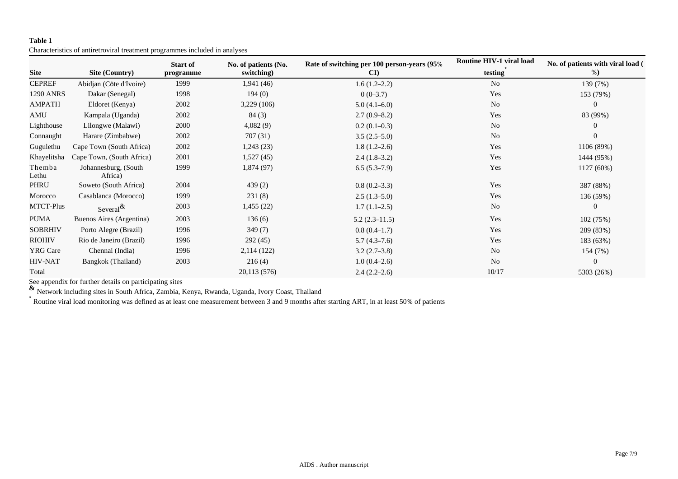# **Table 1**

Characteristics of antiretroviral treatment programmes included in analyses

|                  |                                 | <b>Start of</b> | No. of patients (No. | Rate of switching per 100 person-years (95% | <b>Routine HIV-1 viral load</b> | No. of patients with viral load ( |  |
|------------------|---------------------------------|-----------------|----------------------|---------------------------------------------|---------------------------------|-----------------------------------|--|
| <b>Site</b>      | Site (Country)                  | programme       | switching)           | $\mathbf{C}\mathbf{D}$                      | testing                         | %                                 |  |
| <b>CEPREF</b>    | Abidjan (Côte d'Ivoire)         | 1999            | 1,941(46)            | $1.6(1.2-2.2)$                              | N <sub>o</sub>                  | 139 (7%)                          |  |
| 1290 ANRS        | Dakar (Senegal)                 | 1998            | 194(0)               | $0(0-3.7)$                                  | Yes                             | 153 (79%)                         |  |
| <b>AMPATH</b>    | Eldoret (Kenya)                 | 2002            | 3,229(106)           | $5.0(4.1-6.0)$                              | N <sub>o</sub>                  | $\overline{0}$                    |  |
| AMU              | Kampala (Uganda)                | 2002            | 84(3)                | $2.7(0.9-8.2)$                              | Yes                             | 83 (99%)                          |  |
| Lighthouse       | Lilongwe (Malawi)               | 2000            | 4,082(9)             | $0.2(0.1-0.3)$                              | N <sub>o</sub>                  | $\boldsymbol{0}$                  |  |
| Connaught        | Harare (Zimbabwe)               | 2002            | 707(31)              | $3.5(2.5-5.0)$                              | N <sub>o</sub>                  | $\overline{0}$                    |  |
| Gugulethu        | Cape Town (South Africa)        | 2002            | 1,243(23)            | $1.8(1.2-2.6)$                              | Yes                             | 1106 (89%)                        |  |
| Khayelitsha      | Cape Town, (South Africa)       | 2001            | 1,527(45)            | $2.4(1.8-3.2)$                              | Yes                             | 1444 (95%)                        |  |
| Themba<br>Lethu  | Johannesburg, (South<br>Africa) | 1999            | 1,874(97)            | $6.5(5.3-7.9)$                              | Yes                             | 1127 (60%)                        |  |
| PHRU             | Soweto (South Africa)           | 2004            | 439(2)               | $0.8(0.2-3.3)$                              | Yes                             | 387 (88%)                         |  |
| Morocco          | Casablanca (Morocco)            | 1999            | 231(8)               | $2.5(1.3-5.0)$                              | Yes                             | 136 (59%)                         |  |
| <b>MTCT-Plus</b> | Several $\&$                    | 2003            | 1,455 (22)           | $1.7(1.1-2.5)$                              | N <sub>0</sub>                  | $\theta$                          |  |
| <b>PUMA</b>      | Buenos Aires (Argentina)        | 2003            | 136(6)               | $5.2(2.3-11.5)$                             | Yes                             | 102 (75%)                         |  |
| <b>SOBRHIV</b>   | Porto Alegre (Brazil)           | 1996            | 349(7)               | $0.8(0.4-1.7)$                              | Yes                             | 289 (83%)                         |  |
| <b>RIOHIV</b>    | Rio de Janeiro (Brazil)         | 1996            | 292(45)              | $5.7(4.3-7.6)$                              | Yes                             | 183 (63%)                         |  |
| <b>YRG Care</b>  | Chennai (India)                 | 1996            | 2,114(122)           | $3.2(2.7-3.8)$                              | N <sub>o</sub>                  | 154 (7%)                          |  |
| <b>HIV-NAT</b>   | Bangkok (Thailand)              | 2003            | 216(4)               | $1.0(0.4-2.6)$                              | N <sub>0</sub>                  | $\mathbf{0}$                      |  |
| Total            |                                 |                 | 20,113 (576)         | $2.4(2.2-2.6)$                              | 10/17                           | 5303 (26%)                        |  |

See appendix for further details on participating sites

**&** Network including sites in South Africa, Zambia, Kenya, Rwanda, Uganda, Ivory Coast, Thailand

\* Routine viral load monitoring was defined as at least one measurement between 3 and 9 months after starting ART, in at least 50% of patients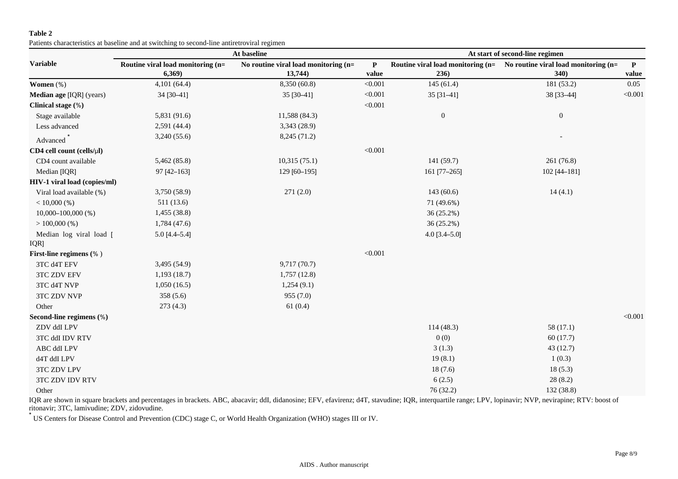### **Table 2**

Patients characteristics at baseline and at switching to second-line antiretroviral regimen

|                                 |                                             | At baseline                                     | At start of second-line regimen |                                           |                                              |                       |
|---------------------------------|---------------------------------------------|-------------------------------------------------|---------------------------------|-------------------------------------------|----------------------------------------------|-----------------------|
| <b>Variable</b>                 | Routine viral load monitoring (n=<br>6,369) | No routine viral load monitoring (n=<br>13,744) | P<br>value                      | Routine viral load monitoring (n=<br>236) | No routine viral load monitoring (n=<br>340) | $\mathbf{P}$<br>value |
| Women (%)                       | 4,101 (64.4)                                | 8,350 (60.8)                                    | < 0.001                         | 145(61.4)                                 | 181 (53.2)                                   | 0.05                  |
| Median age [IQR] (years)        | 34 [30-41]                                  | 35 [30-41]                                      | < 0.001                         | 35 [31-41]                                | 38 [33-44]                                   | < 0.001               |
| Clinical stage (%)              |                                             |                                                 | < 0.001                         |                                           |                                              |                       |
| Stage available                 | 5,831 (91.6)                                | 11,588 (84.3)                                   |                                 | $\boldsymbol{0}$                          | $\boldsymbol{0}$                             |                       |
| Less advanced                   | 2,591 (44.4)                                | 3,343 (28.9)                                    |                                 |                                           |                                              |                       |
| Advanced                        | 3,240 (55.6)                                | 8,245 (71.2)                                    |                                 |                                           |                                              |                       |
| CD4 cell count (cells/µl)       |                                             |                                                 | < 0.001                         |                                           |                                              |                       |
| CD4 count available             | 5,462 (85.8)                                | 10,315(75.1)                                    |                                 | 141(59.7)                                 | 261 (76.8)                                   |                       |
| Median [IQR]                    | 97 [42-163]                                 | 129 [60-195]                                    |                                 | 161 [77-265]                              | 102 [44-181]                                 |                       |
| HIV-1 viral load (copies/ml)    |                                             |                                                 |                                 |                                           |                                              |                       |
| Viral load available (%)        | 3,750 (58.9)                                | 271(2.0)                                        |                                 | 143(60.6)                                 | 14(4.1)                                      |                       |
| $< 10,000$ (%)                  | 511(13.6)                                   |                                                 |                                 | 71 (49.6%)                                |                                              |                       |
| $10,000 - 100,000$ (%)          | 1,455(38.8)                                 |                                                 |                                 | 36 (25.2%)                                |                                              |                       |
| $>100,000$ (%)                  | 1,784(47.6)                                 |                                                 |                                 | $36(25.2\%)$                              |                                              |                       |
| Median log viral load [         | $5.0 [4.4 - 5.4]$                           |                                                 |                                 | $4.0$ [3.4-5.0]                           |                                              |                       |
| IQR]<br>First-line regimens (%) |                                             |                                                 | < 0.001                         |                                           |                                              |                       |
| 3TC d4T EFV                     | 3,495 (54.9)                                | 9,717 (70.7)                                    |                                 |                                           |                                              |                       |
| <b>3TC ZDV EFV</b>              | 1,193(18.7)                                 | 1,757(12.8)                                     |                                 |                                           |                                              |                       |
| 3TC d4T NVP                     | 1,050(16.5)                                 | 1,254(9.1)                                      |                                 |                                           |                                              |                       |
| 3TC ZDV NVP                     | 358(5.6)                                    | 955(7.0)                                        |                                 |                                           |                                              |                       |
| Other                           | 273(4.3)                                    | 61(0.4)                                         |                                 |                                           |                                              |                       |
| Second-line regimens (%)        |                                             |                                                 |                                 |                                           |                                              | < 0.001               |
| ZDV ddI LPV                     |                                             |                                                 |                                 | 114(48.3)                                 | 58(17.1)                                     |                       |
| 3TC ddI IDV RTV                 |                                             |                                                 |                                 | 0(0)                                      | 60(17.7)                                     |                       |
| ABC ddI LPV                     |                                             |                                                 |                                 | 3(1.3)                                    | 43(12.7)                                     |                       |
|                                 |                                             |                                                 |                                 | 19(8.1)                                   | 1(0.3)                                       |                       |
| d4T ddI LPV                     |                                             |                                                 |                                 | 18(7.6)                                   |                                              |                       |
| 3TC ZDV LPV                     |                                             |                                                 |                                 |                                           | 18(5.3)                                      |                       |
| 3TC ZDV IDV RTV                 |                                             |                                                 |                                 | 6(2.5)                                    | 28(8.2)                                      |                       |
| Other                           |                                             |                                                 |                                 | 76 (32.2)                                 | 132 (38.8)                                   |                       |

IQR are shown in square brackets and percentages in brackets. ABC, abacavir; ddI, didanosine; EFV, efavirenz; d4T, stavudine; IQR, interquartile range; LPV, lopinavir; NVP, nevirapine; RTV: boost of ritonavir; 3TC, lamivudine; ZDV, zidovudine.

\* US Centers for Disease Control and Prevention (CDC) stage C, or World Health Organization (WHO) stages III or IV.